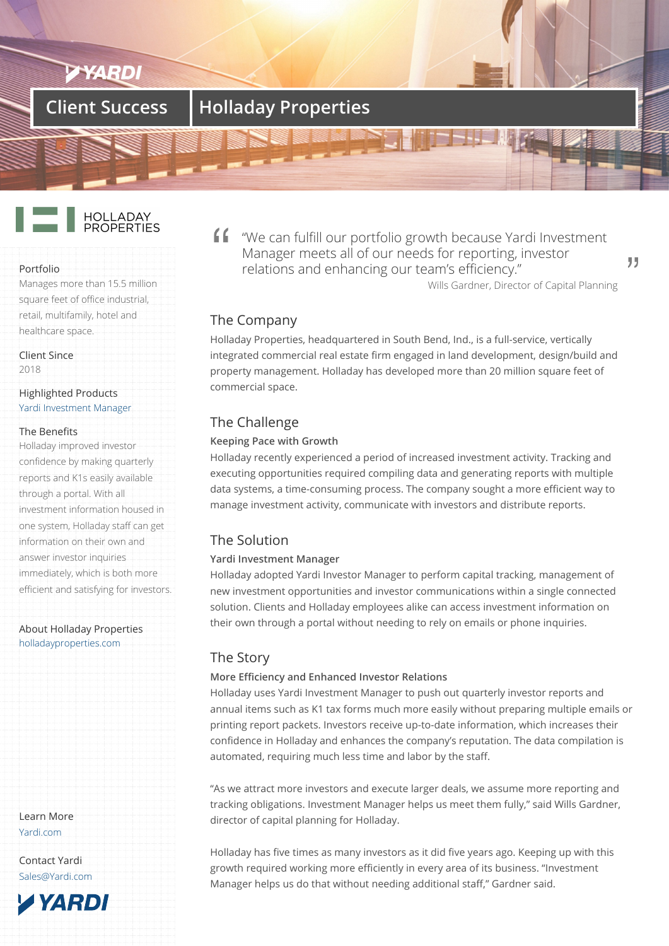# **Client Success Holladay Properties**



#### Portfolio

Manages more than 15.5 million square feet of office industrial, retail, multifamily, hotel and healthcare space.

Client Since

2018

#### Highlighted Products Yardi Investment Manager

#### The Benefits

Holladay improved investor [confidence by making quar](/products/investment-manager/)terly reports and K1s easily available through a portal. With all investment information housed in one system, Holladay staff can get information on their own and answer investor inquiries immediately, which is both more efficient and satisfying for investors.

#### About Holladay Properties holladayproperties.com

Learn More Yardi.com

Contact Yardi Sales@Yardi.com

**TYARDI** 

"We can fulfill our portfolio growth because Yardi Investment Manager meets all of our needs for reporting, investor relations and enhancing our team's efficiency."

Wills Gardner, Director of Capital Planning

99

## The Company

Holladay Properties, headquartered in South Bend, Ind., is a full-service, vertically integrated commercial real estate firm engaged in land development, design/build and property management. Holladay has developed more than 20 million square feet of commercial space.

# The Challenge

### **Keeping Pace with Growth**

Holladay recently experienced a period of increased investment activity. Tracking and executing opportunities required compiling data and generating reports with multiple data systems, a time-consuming process. The company sought a more efficient way to manage investment activity, communicate with investors and distribute reports.

## The Solution

### **Yardi Investment Manager**

Holladay adopted Yardi Investor Manager to perform capital tracking, management of new investment opportunities and investor communications within a single connected solution. Clients and Holladay employees alike can access investment information on their own through a portal without needing to rely on emails or phone inquiries.

## The Story

### **More Efficiency and Enhanced Investor Relations**

Holladay uses Yardi Investment Manager to push out quarterly investor reports and annual items such as K1 tax forms much more easily without preparing multiple emails or printing report packets. Investors receive up-to-date information, which increases their confidence in Holladay and enhances the company's reputation. The data compilation is automated, requiring much less time and labor by the staff.

"As we attract more investors and execute larger deals, we assume more reporting and tracking obligations. Investment Manager helps us meet them fully," said Wills Gardner, director of capital planning for Holladay.

Holladay has five times as many investors as it did five years ago. Keeping up with this growth required working more efficiently in every area of its business. "Investment Manager helps us do that without needing additional staff," Gardner said.